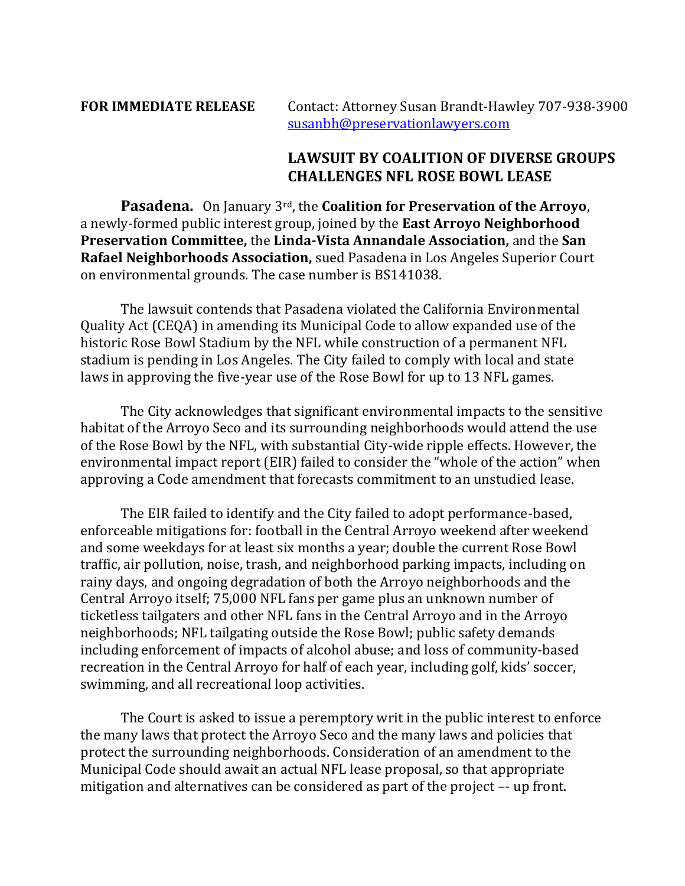## **LAWSUIT BY COALITION OF DIVERSE GROUPS CHALLENGES NFL ROSE BOWL LEASE**

**Pasadena.** On January 3rd, the **Coalition for Preservation of the Arroyo**, a newly-formed public interest group, joined by the **East Arroyo Neighborhood Preservation Committee,** the **Linda-Vista Annandale Association,** and the **San Rafael Neighborhoods Association,** sued Pasadena in Los Angeles Superior Court on environmental grounds. The case number is BS141038.

The lawsuit contends that Pasadena violated the California Environmental Quality Act (CEQA) in amending its Municipal Code to allow expanded use of the historic Rose Bowl Stadium by the NFL while construction of a permanent NFL stadium is pending in Los Angeles. The City failed to comply with local and state laws in approving the five-year use of the Rose Bowl for up to 13 NFL games.

The City acknowledges that significant environmental impacts to the sensitive habitat of the Arroyo Seco and its surrounding neighborhoods would attend the use of the Rose Bowl by the NFL, with substantial City-wide ripple effects. However, the environmental impact report (EIR) failed to consider the "whole of the action" when approving a Code amendment that forecasts commitment to an unstudied lease.

The EIR failed to identify and the City failed to adopt performance-based, enforceable mitigations for: football in the Central Arroyo weekend after weekend and some weekdays for at least six months a year; double the current Rose Bowl traffic, air pollution, noise, trash, and neighborhood parking impacts, including on rainy days, and ongoing degradation of both the Arroyo neighborhoods and the Central Arroyo itself; 75,000 NFL fans per game plus an unknown number of ticketless tailgaters and other NFL fans in the Central Arroyo and in the Arroyo neighborhoods; NFL tailgating outside the Rose Bowl; public safety demands including enforcement of impacts of alcohol abuse; and loss of community-based recreation in the Central Arroyo for half of each year, including golf, kids' soccer, swimming, and all recreational loop activities.

The Court is asked to issue a peremptory writ in the public interest to enforce the many laws that protect the Arroyo Seco and the many laws and policies that protect the surrounding neighborhoods. Consideration of an amendment to the Municipal Code should await an actual NFL lease proposal, so that appropriate mitigation and alternatives can be considered as part of the project –- up front.